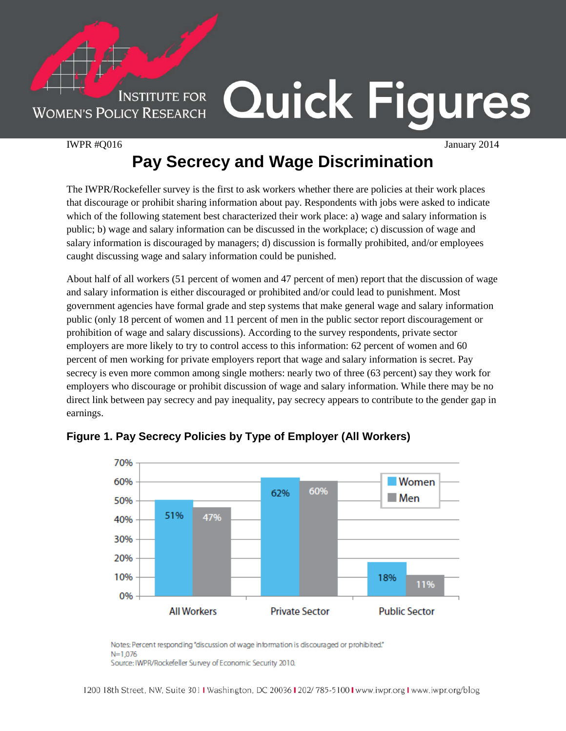**INSTITUTE FOR WOMEN'S POLICY RESEARCH** 

## Quick Figures

IWPR #Q016 January 2014

## **Pay Secrecy and Wage Discrimination**

The IWPR/Rockefeller survey is the first to ask workers whether there are policies at their work places that discourage or prohibit sharing information about pay. Respondents with jobs were asked to indicate which of the following statement best characterized their work place: a) wage and salary information is public; b) wage and salary information can be discussed in the workplace; c) discussion of wage and salary information is discouraged by managers; d) discussion is formally prohibited, and/or employees caught discussing wage and salary information could be punished.

About half of all workers (51 percent of women and 47 percent of men) report that the discussion of wage and salary information is either discouraged or prohibited and/or could lead to punishment. Most government agencies have formal grade and step systems that make general wage and salary information public (only 18 percent of women and 11 percent of men in the public sector report discouragement or prohibition of wage and salary discussions). According to the survey respondents, private sector employers are more likely to try to control access to this information: 62 percent of women and 60 percent of men working for private employers report that wage and salary information is secret. Pay secrecy is even more common among single mothers: nearly two of three (63 percent) say they work for employers who discourage or prohibit discussion of wage and salary information. While there may be no direct link between pay secrecy and pay inequality, pay secrecy appears to contribute to the gender gap in earnings.



## **Figure 1. Pay Secrecy Policies by Type of Employer (All Workers)**

Notes: Percent responding "discussion of wage information is discouraged or prohibited."  $N = 1.076$ Source: IWPR/Rockefeller Survey of Economic Security 2010.